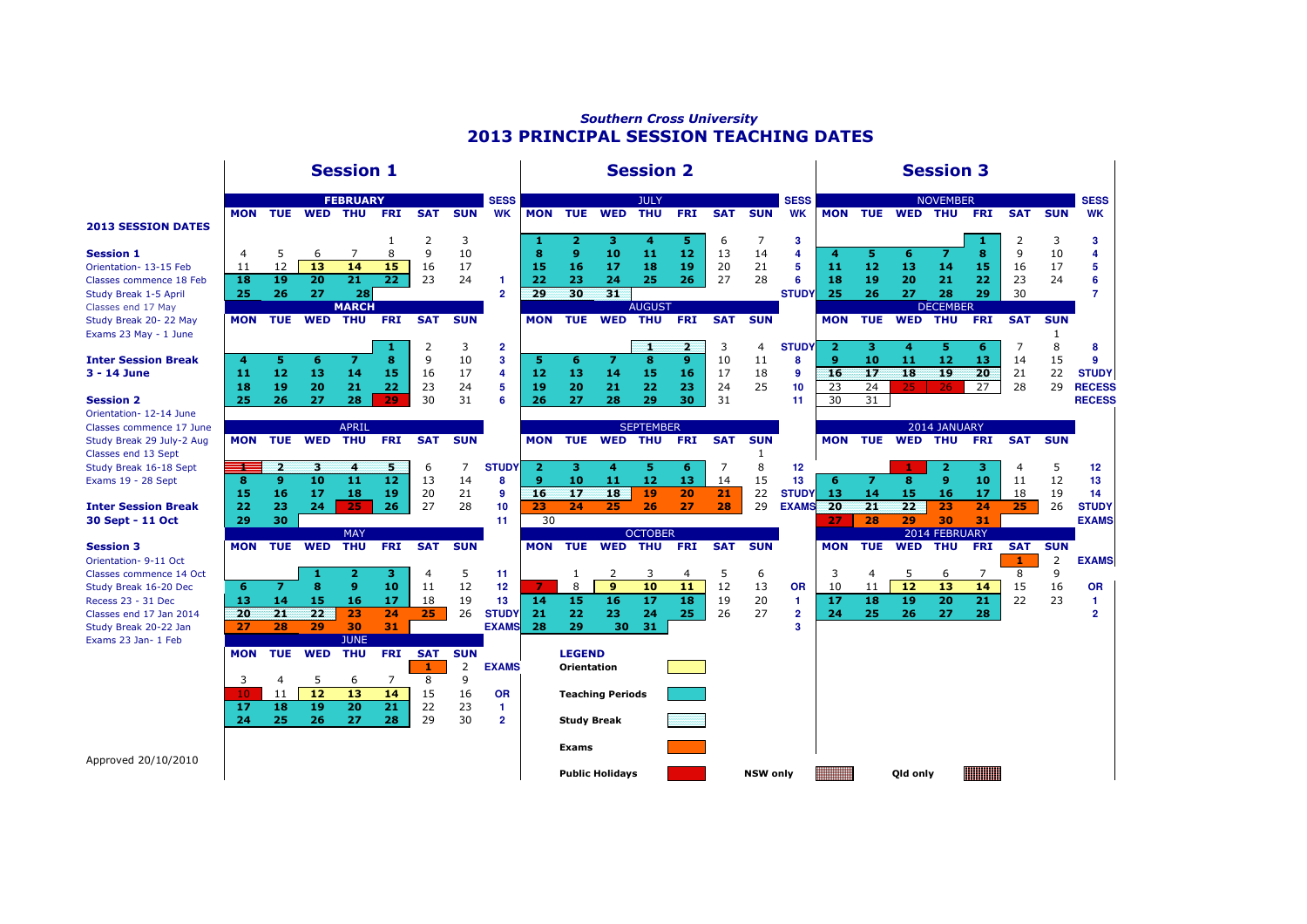## Southern Cross University2013 PRINCIPAL SESSION TEACHING DATES

|                                                     | <b>Session 1</b> |                              |             |                            |                      |            |            |                              | <b>Session 2</b>        |                    |                        |                              |                |            |                 |                           | <b>Session 3</b> |            |             |                                |            |            |            |                                   |
|-----------------------------------------------------|------------------|------------------------------|-------------|----------------------------|----------------------|------------|------------|------------------------------|-------------------------|--------------------|------------------------|------------------------------|----------------|------------|-----------------|---------------------------|------------------|------------|-------------|--------------------------------|------------|------------|------------|-----------------------------------|
|                                                     | <b>MON</b>       |                              | TUE WED THU | <b>FEBRUARY</b>            | <b>FRI</b>           | <b>SAT</b> | <b>SUN</b> | <b>SESS</b><br><b>WK</b>     | <b>MON</b>              | <b>TUE</b>         | <b>WED</b>             | <b>JULY</b><br><b>THU</b>    | <b>FRI</b>     | <b>SAT</b> | <b>SUN</b>      | <b>SESS</b><br><b>WK</b>  |                  |            | MON TUE WED | <b>NOVEMBER</b><br>THU         | <b>FRI</b> | <b>SAT</b> | <b>SUN</b> | <b>SESS</b><br><b>WK</b>          |
| <b>2013 SESSION DATES</b>                           |                  |                              |             | 7                          | 1                    | 2<br>9     | 3          |                              | 1                       | $\overline{2}$     | з                      | 4                            | 5              | 6          | 7               | 3                         |                  |            |             |                                | х          | 2          | 3          | 3                                 |
| <b>Session 1</b><br>Orientation- 13-15 Feb          | 4<br>11          | 5<br>12                      | 6<br>13     | 14                         | 8<br>15              | 16         | 10<br>17   |                              | 8<br>15                 | 9<br>16            | 10<br>17               | 11<br>18                     | 12<br>19       | 13<br>20   | 14<br>21        | 4<br>5                    | 4<br>11          | 5<br>12    | 6<br>13     | $\overline{7}$<br>14           | 8<br>15    | 9<br>16    | 10<br>17   | 4<br>5                            |
| Classes commence 18 Feb<br>Study Break 1-5 April    | 18<br>25         | 19<br>26                     | 20<br>27    | 21<br>28                   | 22                   | 23         | 24         | 1<br>$\overline{2}$          | 22<br>29                | 23<br>30           | 24<br>31               | 25                           | 26             | 27         | 28              | 6<br><b>STUDY</b>         | 18<br>25         | 19<br>26   | 20<br>27    | 21<br>28                       | 22<br>29   | 23<br>30   | 24         | 6<br>7                            |
| Classes end 17 May<br>Study Break 20-22 May         | <b>MON</b>       | <b>TUE</b>                   | <b>WED</b>  | <b>MARCH</b><br><b>THU</b> | <b>FRI</b>           | <b>SAT</b> | <b>SUN</b> |                              | <b>MON</b>              | <b>TUE</b>         | <b>WED</b>             | <b>AUGUST</b><br><b>THU</b>  | <b>FRI</b>     | <b>SAT</b> | <b>SUN</b>      |                           | <b>MON</b>       | <b>TUE</b> | <b>WED</b>  | <b>DECEMBER</b><br><b>THU</b>  | <b>FRI</b> | <b>SAT</b> | <b>SUN</b> |                                   |
| Exams 23 May - 1 June                               |                  |                              |             |                            |                      | 2          | 3          | $\overline{2}$               |                         |                    |                        | 1                            | $\overline{2}$ | 3          | 4               | <b>STUDY</b>              | $\overline{2}$   | з          | 4           | 5                              | 6          | 7          | 1<br>8     | 8                                 |
| <b>Inter Session Break</b><br>3 - 14 June           | 4<br>-11         | 5<br>12                      | 6<br>13     | $\overline{z}$<br>14       | 8<br>15              | 9<br>16    | 10<br>17   | 3<br>4                       | 5<br>12                 | 6<br>13            | $\overline{z}$<br>14   | 8<br>15                      | 9<br>16        | 10<br>17   | 11<br>18        | 8<br>$\mathbf{9}$         | 9<br>16          | 10<br>17   | 11<br>18    | 12<br>19                       | 13<br>20   | 14<br>21   | 15<br>22   | 9<br><b>STUDY</b>                 |
| <b>Session 2</b>                                    | 18<br>25         | 19<br>26                     | 20<br>27    | 21<br>28                   | 22<br>29             | 23<br>30   | 24<br>31   | 5<br>6                       | 19<br>26                | 20<br>27           | 21<br>28               | 22<br>29                     | 23<br>30       | 24<br>31   | 25              | 10<br>11                  | 23<br>30         | 24<br>31   | 25.         | 26                             | 27         | 28         | 29         | <b>RECESS</b><br><b>RECESS</b>    |
| Orientation- 12-14 June<br>Classes commence 17 June |                  |                              |             | <b>APRIL</b>               |                      |            |            |                              |                         |                    |                        | <b>SEPTEMBER</b>             |                |            |                 |                           |                  |            |             | 2014 JANUARY                   |            |            |            |                                   |
| Study Break 29 July-2 Aug<br>Classes end 13 Sept    | <b>MON</b>       | <b>TUE</b>                   | <b>WED</b>  | <b>THU</b>                 | <b>FRI</b>           | <b>SAT</b> | <b>SUN</b> |                              | <b>MON</b>              | <b>TUE</b>         | <b>WED</b>             | <b>THU</b>                   | <b>FRI</b>     | <b>SAT</b> | <b>SUN</b><br>1 |                           | <b>MON</b>       | <b>TUE</b> | <b>WED</b>  | <b>THU</b>                     | <b>FRI</b> | <b>SAT</b> | <b>SUN</b> |                                   |
| Study Break 16-18 Sept<br>Exams 19 - 28 Sept        | 8                | $\mathbf{z}$<br>$\mathbf{9}$ | з<br>10     | 4<br>$\overline{11}$       | 5<br>$\overline{12}$ | 6<br>13    | 7<br>14    | <b>STUDY</b><br>8            | $\overline{2}$<br>9     | з<br>10            | 4<br>11                | 5<br>12                      | 6<br>13        | 7<br>14    | 8<br>15         | $12 \overline{ }$<br>13   | 6                | 7          | 8           | $\overline{2}$<br>$\mathbf{9}$ | з<br>10    | 4<br>11    | 5<br>12    | 12 <sup>2</sup><br>13             |
|                                                     | 15               | 16<br>23                     | 17          | 18<br>25                   | 19<br>26             | 20         | 21<br>28   | 9<br>10                      | 16                      | 17<br>24           | 18<br>25               | 19                           | 20             | 21         | 22<br>29        | <b>STUDY</b>              | 13<br>20         | 14<br>21   | 15<br>22    | 16<br>23                       | 17<br>24   | 18         | 19<br>26   | 14                                |
| <b>Inter Session Break</b><br>30 Sept - 11 Oct      | 22<br>29         | 30                           | 24          |                            |                      | 27         |            | 11                           | 23<br>30                |                    |                        | 26                           | 27             | 28         |                 | <b>EXAMS</b>              | 27               | 28         | 29          | 30                             | 31         | 25         |            | <b>STUDY</b><br><b>EXAMS</b>      |
| <b>Session 3</b>                                    | <b>MON</b>       | <b>TUE</b>                   | <b>WED</b>  | <b>MAY</b><br><b>THU</b>   | <b>FRI</b>           | <b>SAT</b> | <b>SUN</b> |                              | <b>MON</b>              | <b>TUE</b>         | <b>WED</b>             | <b>OCTOBER</b><br><b>THU</b> | <b>FRI</b>     | <b>SAT</b> | <b>SUN</b>      |                           | <b>MON</b>       | <b>TUE</b> | <b>WED</b>  | 2014 FEBRUARY<br><b>THU</b>    | <b>FRI</b> | <b>SAT</b> | <b>SUN</b> |                                   |
| Orientation- 9-11 Oct<br>Classes commence 14 Oct    |                  |                              | -1          | 2                          | з                    | 4          | 5          | 11                           |                         | 1                  | 2                      | 3                            | $\overline{4}$ | 5          | 6               |                           | 3                | 4          | 5           | 6                              | 7          | -1<br>8    | 2<br>9     | <b>EXAMS</b>                      |
| Study Break 16-20 Dec<br>Recess 23 - 31 Dec         | 6<br>13          | $\overline{z}$<br>14         | 8<br>15     | 9<br>16                    | 10<br>17             | 11<br>18   | 12<br>19   | 12<br>13                     | 7<br>14                 | 8<br>15            | 9<br>16                | 10<br>17                     | 11<br>18       | 12<br>19   | 13<br>20        | <b>OR</b><br>$\mathbf{1}$ | 10<br>17         | 11<br>18   | 12<br>19    | 13<br>20                       | 14<br>21   | 15<br>22   | 16<br>23   | <b>OR</b><br>$\blacktriangleleft$ |
| Classes end 17 Jan 2014<br>Study Break 20-22 Jan    | 20<br>27         | 21<br>28                     | 22<br>29    | 23<br>30                   | 24<br>31             | 25         | 26         | <b>STUDY</b><br><b>EXAMS</b> | 21<br>28                | 22<br>29           | 23<br>30               | 24<br>31                     | 25             | 26         | 27              | $\overline{2}$<br>3       | 24               | 25         | 26          | 27                             | 28         |            |            | $\overline{2}$                    |
| Exams 23 Jan- 1 Feb                                 | <b>MON</b>       | <b>TUE</b>                   | <b>WED</b>  | <b>JUNE</b><br><b>THU</b>  | <b>FRI</b>           | <b>SAT</b> | <b>SUN</b> |                              |                         | <b>LEGEND</b>      |                        |                              |                |            |                 |                           |                  |            |             |                                |            |            |            |                                   |
|                                                     | 3                | 4                            | 5           | 6                          | 7                    | -1<br>8    | 2<br>9     | <b>EXAMS</b>                 |                         | <b>Orientation</b> |                        |                              |                |            |                 |                           |                  |            |             |                                |            |            |            |                                   |
|                                                     | 10<br>17         | 11<br>18                     | 12<br>19    | $\overline{13}$<br>20      | 14<br>21             | 15<br>22   | 16<br>23   | <b>OR</b><br>-1              | <b>Teaching Periods</b> |                    |                        |                              |                |            |                 |                           |                  |            |             |                                |            |            |            |                                   |
|                                                     | 24               | 25                           | 26          | 27                         | 28                   | 29         | 30         | $\overline{2}$               |                         | <b>Study Break</b> |                        |                              |                |            |                 |                           |                  |            |             |                                |            |            |            |                                   |
| Approved 20/10/2010                                 |                  |                              |             |                            |                      |            |            |                              |                         | Exams              |                        |                              |                |            |                 |                           |                  |            |             |                                |            |            |            |                                   |
|                                                     |                  |                              |             |                            |                      |            |            |                              |                         |                    | <b>Public Holidays</b> |                              |                |            | <b>NSW only</b> |                           |                  |            | Old only    |                                |            |            |            |                                   |